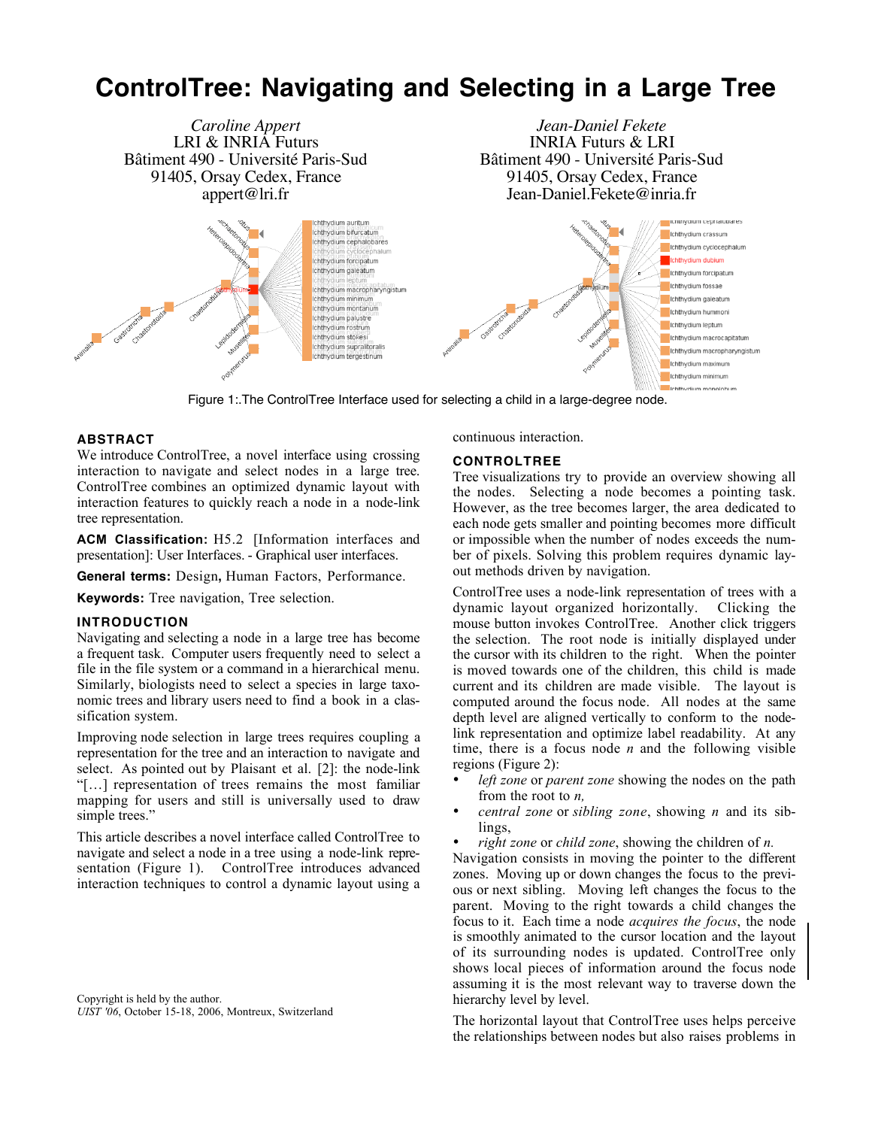# **ControlTree: Navigating and Selecting in a Large Tree**



Figure 1:.The ControlTree Interface used for selecting a child in a large-degree node.

## **ABSTRACT**

We introduce ControlTree, a novel interface using crossing interaction to navigate and select nodes in a large tree. ControlTree combines an optimized dynamic layout with interaction features to quickly reach a node in a node-link tree representation.

**ACM Classification:** H5.2 [Information interfaces and presentation]: User Interfaces. - Graphical user interfaces.

**General terms:** Design**,** Human Factors, Performance.

**Keywords:** Tree navigation, Tree selection.

### **INTRODUCTION**

Navigating and selecting a node in a large tree has become a frequent task. Computer users frequently need to select a file in the file system or a command in a hierarchical menu. Similarly, biologists need to select a species in large taxonomic trees and library users need to find a book in a classification system.

Improving node selection in large trees requires coupling a representation for the tree and an interaction to navigate and select. As pointed out by Plaisant et al. [2]: the node-link "[…] representation of trees remains the most familiar mapping for users and still is universally used to draw simple trees."

This article describes a novel interface called ControlTree to navigate and select a node in a tree using a node-link representation (Figure 1). ControlTree introduces advanced interaction techniques to control a dynamic layout using a continuous interaction.

## **CONTROLTREE**

Tree visualizations try to provide an overview showing all the nodes. Selecting a node becomes a pointing task. However, as the tree becomes larger, the area dedicated to each node gets smaller and pointing becomes more difficult or impossible when the number of nodes exceeds the number of pixels. Solving this problem requires dynamic layout methods driven by navigation.

ControlTree uses a node-link representation of trees with a dynamic layout organized horizontally. Clicking the mouse button invokes ControlTree. Another click triggers the selection. The root node is initially displayed under the cursor with its children to the right. When the pointer is moved towards one of the children, this child is made current and its children are made visible. The layout is computed around the focus node. All nodes at the same depth level are aligned vertically to conform to the nodelink representation and optimize label readability. At any time, there is a focus node *n* and the following visible regions (Figure 2):

- *left zone* or *parent zone* showing the nodes on the path from the root to *n,*
- *central zone* or *sibling zone*, showing *n* and its siblings,
- *right zone* or *child zone*, showing the children of *n.*

Navigation consists in moving the pointer to the different zones. Moving up or down changes the focus to the previous or next sibling. Moving left changes the focus to the parent. Moving to the right towards a child changes the focus to it. Each time a node *acquires the focus*, the node is smoothly animated to the cursor location and the layout of its surrounding nodes is updated. ControlTree only shows local pieces of information around the focus node assuming it is the most relevant way to traverse down the hierarchy level by level.

The horizontal layout that ControlTree uses helps perceive the relationships between nodes but also raises problems in